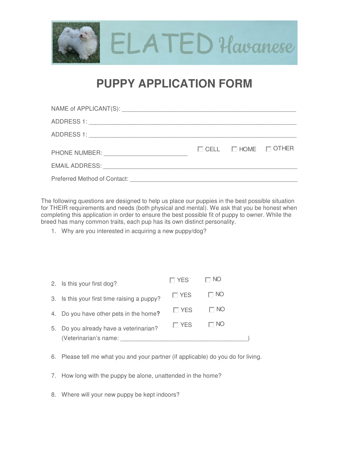

## **PUPPY APPLICATION FORM**

| PHONE NUMBER: New PHONE NUMBER: | $\Box$ CELL $\Box$ HOME $\Box$ OTHER |  |
|---------------------------------|--------------------------------------|--|
|                                 |                                      |  |
|                                 |                                      |  |

The following questions are designed to help us place our puppies in the best possible situation for THEIR requirements and needs (both physical and mental). We ask that you be honest when completing this application in order to ensure the best possible fit of puppy to owner. While the breed has many common traits, each pup has its own distinct personality.

1. Why are you interested in acquiring a new puppy/dog?

| 2. Is this your first dog?                  | $\Box$ YES | $\Box$ No |  |
|---------------------------------------------|------------|-----------|--|
| 3. Is this your first time raising a puppy? | $\Box$ YES | $\Box$ No |  |
| 4. Do you have other pets in the home?      | $\Box$ YES | $\Box$ No |  |
| 5. Do you already have a veterinarian?      | $\Box$ YES | $\Box$ NO |  |
| (Veterinarian's name:                       |            |           |  |

- 6. Please tell me what you and your partner (if applicable) do you do for living.
- 7. How long with the puppy be alone, unattended in the home?
- 8. Where will your new puppy be kept indoors?